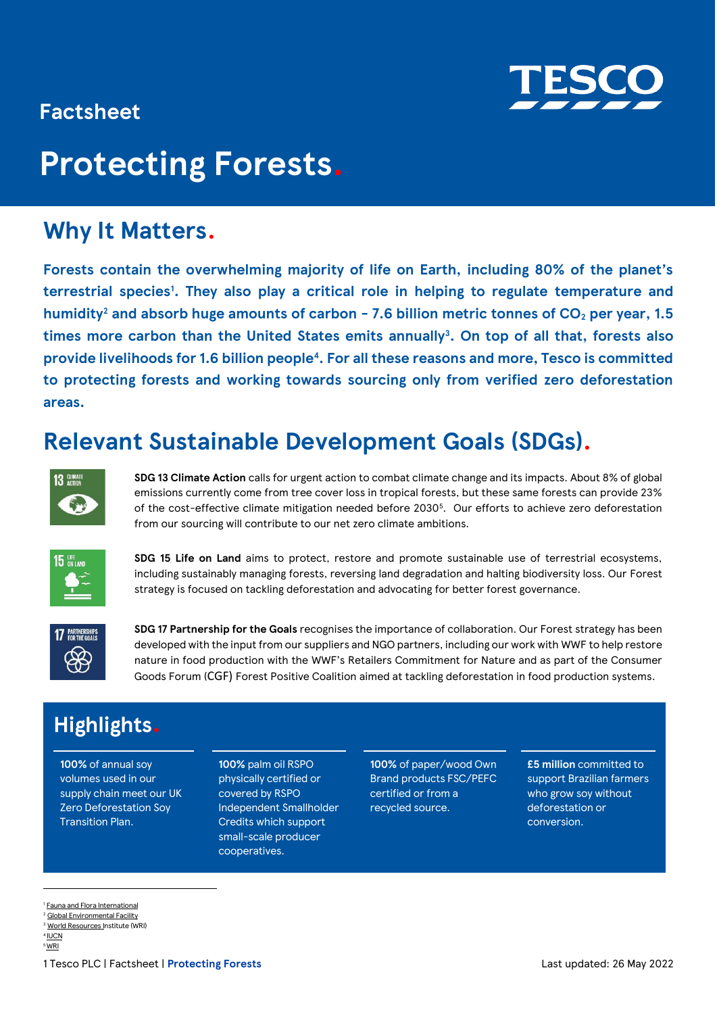

# **Factsheet**

# **Protecting Forests.**

# **Why It Matters.**

**Forests contain the overwhelming majority of life on Earth, including 80% of the planet's terrestrial species<sup>1</sup> . They also play a critical role in helping to regulate temperature and humidity<sup>2</sup> and absorb huge amounts of carbon - 7.6 billion metric tonnes of CO<sup>2</sup> per year, 1.5 times more carbon than the United States emits annually<sup>3</sup> . On top of all that, forests also provide livelihoods for 1.6 billion people<sup>4</sup> . For all these reasons and more, Tesco is committed to protecting forests and working towards sourcing only from verified zero deforestation areas.** 

# **Relevant Sustainable Development Goals (SDGs).**



**SDG 13 Climate Action** calls for urgent action to combat climate change and its impacts. About 8% of global emissions currently come from tree cover loss in tropical forests, but these same forests can provide 23% of the cost-effective climate mitigation needed before 2030<sup>5</sup>. Our efforts to achieve zero deforestation from our sourcing will contribute to our net zero climate ambitions.



**SDG 15 Life on Land** aims to protect, restore and promote sustainable use of terrestrial ecosystems, including sustainably managing forests, reversing land degradation and halting biodiversity loss. Our Forest strategy is focused on tackling deforestation and advocating for better forest governance.



**SDG 17 Partnership for the Goals** recognises the importance of collaboration. Our Forest strategy has been developed with the input from our suppliers and NGO partners, including our work with WWF to help restore nature in food production with the WWF's Retailers Commitment for Nature and as part of the Consumer Goods Forum (CGF) Forest Positive Coalition aimed at tackling deforestation in food production systems.

# **Highlights.**

**100%** of annual soy volumes used in our supply chain meet our UK Zero Deforestation Soy Transition Plan.

**100%** palm oil RSPO physically certified or covered by RSPO Independent Smallholder Credits which support small-scale producer cooperatives.

**100%** of paper/wood Own Brand products FSC/PEFC certified or from a recycled source.

**£5 million** committed to support Brazilian farmers who grow soy without deforestation or conversion.

<sup>1</sup> [Fauna and Flora International](https://www.fauna-flora.org/environments/forests)

<sup>2</sup> [Global Environmental Facility](https://www.thegef.org/topics/amazon) <sup>3</sup> [World Resources In](https://www.wri.org/insights/forests-absorb-twice-much-carbon-they-emit-each-year)stitute (WRI) 4 [IUCN](https://www.iucn.org/resources/issues-briefs/forests-and-climate-change) <sup>5</sup>[WRI](https://www.wri.org/insights/numbers-value-tropical-forests-climate-change-equation#:~:text=Tropical%20forests%20are%208%20percent,climate%20mitigation%20needed%20before%202030)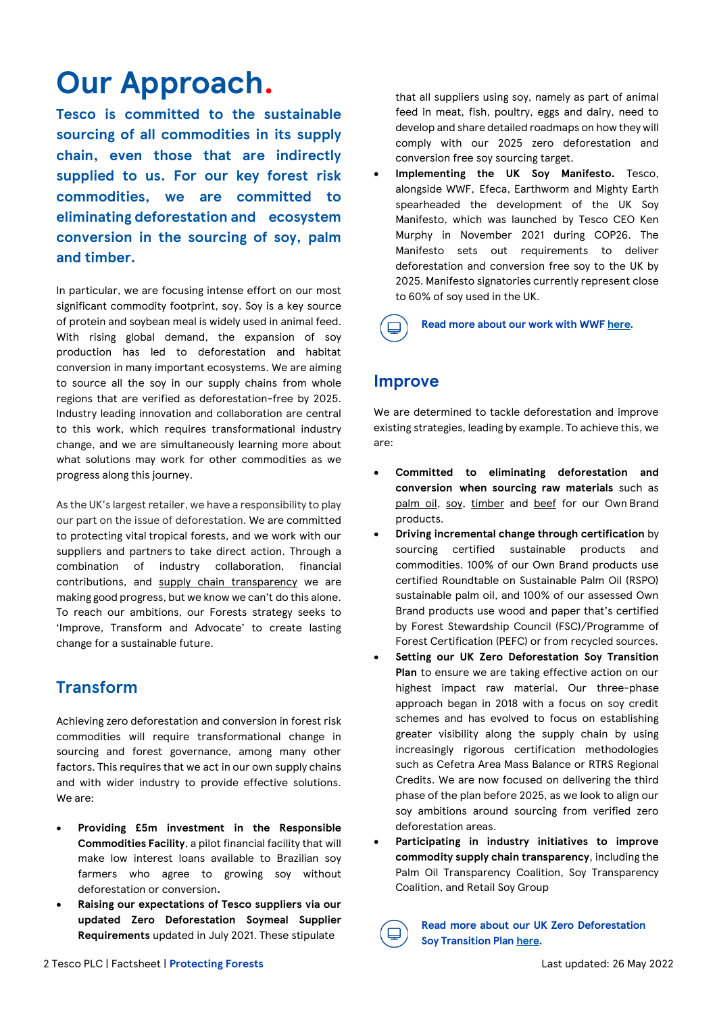# **Our Approach.**

**Tesco is committed to the sustainable sourcing of all commodities in its supply chain, even those that are indirectly supplied to us. For our key forest risk commodities, we are committed to eliminating deforestation and ecosystem conversion in the sourcing of soy, palm and timber.** 

In particular, we are focusing intense effort on our most significant commodity footprint, soy. Soy is a key source of protein and soybean meal is widely used in animal feed. With rising global demand, the expansion of soy production has led to deforestation and habitat conversion in many important ecosystems. We are aiming to source all the soy in our supply chains from whole regions that are verified as deforestation-free by 2025. Industry leading innovation and collaboration are central to this work, which requires transformational industry change, and we are simultaneously learning more about what solutions may work for other commodities as we progress along this journey.

As the UK's largest retailer, we have a responsibility to play our part on the issue of deforestation. We are committed to protecting vital tropical forests, and we work with our suppliers and partners to take direct action. Through a combination of industry collaboration, financial contributions, and [supply chain transparency](https://www.tescoplc.com/media/757846/tesco-group-palm-oil-and-soy-transparency-mapping-1.pdf) we are making good progress, but we know we can't do this alone. To reach our ambitions, our Forests strategy seeks to 'Improve, Transform and Advocate' to create lasting change for a sustainable future.

## **Transform**

Achieving zero deforestation and conversion in forest risk commodities will require transformational change in sourcing and forest governance, among many other factors. This requires that we act in our own supply chains and with wider industry to provide effective solutions. We are:

- **Providing £5m investment in the Responsible Commodities Facility**, a pilot financial facility that will make low interest loans available to Brazilian soy farmers who agree to growing soy without deforestation or conversion**.**
- **Raising our expectations of Tesco suppliers via our updated Zero Deforestation Soymeal Supplier Requirements** updated in July 2021. These stipulate

that all suppliers using soy, namely as part of animal feed in meat, fish, poultry, eggs and dairy, need to develop and share detailed roadmaps on how they will comply with our 2025 zero deforestation and conversion free soy sourcing target.

• **Implementing the UK Soy Manifesto.** Tesco, alongside WWF, Efeca, Earthworm and Mighty Earth spearheaded the development of the UK Soy Manifesto, which was launched by Tesco CEO Ken Murphy in November 2021 during COP26. The Manifesto sets out requirements to deliver deforestation and conversion free soy to the UK by 2025. Manifesto signatories currently represent close to 60% of soy used in the UK.

**Read more about our work with WWF [here](https://www.tescoplc.com/sustainability/taking-action/environment/wwf/)***.*

## **Improve**

We are determined to tackle deforestation and improve existing strategies, leading by example. To achieve this, we are:

- **Committed to eliminating deforestation and conversion when sourcing raw materials** such as [palm oil,](https://www.tescoplc.com/sustainability/documents/policies/sourcing-palm-oil-responsibly/) [soy,](https://www.tescoplc.com/sustainability/documents/policies/sourcing-soy-responsibly/) [timber](https://www.tescoplc.com/sustainability/documents/policies/sourcing-timber-responsibly/) and [beef](https://www.tescoplc.com/sustainability/documents/policies/sourcing-beef-responsibly/) for our Own Brand products.
- **Driving incremental change through certification** by sourcing certified sustainable products and commodities. 100% of our Own Brand products use certified Roundtable on Sustainable Palm Oil (RSPO) sustainable palm oil, and 100% of our assessed Own Brand products use wood and paper that's certified by Forest Stewardship Council (FSC)/Programme of Forest Certification (PEFC) or from recycled sources.
- **Setting our UK Zero Deforestation Soy Transition Plan** to ensure we are taking effective action on our highest impact raw material. Our three-phase approach began in 2018 with a focus on soy credit schemes and has evolved to focus on establishing greater visibility along the supply chain by using increasingly rigorous certification methodologies such as Cefetra Area Mass Balance or RTRS Regional Credits. We are now focused on delivering the third phase of the plan before 2025, as we look to align our soy ambitions around sourcing from verified zero deforestation areas.
- **Participating in industry initiatives to improve commodity supply chain transparency**, including the Palm Oil Transparency Coalition, Soy Transparency Coalition, and Retail Soy Group



**Read more about our UK Zero Deforestation Soy Transition Plan [here](https://www.tescoplc.com/media/755387/tesco-zero-deforestation-soymeal-transition-plan_dec-2019.pdf)***.*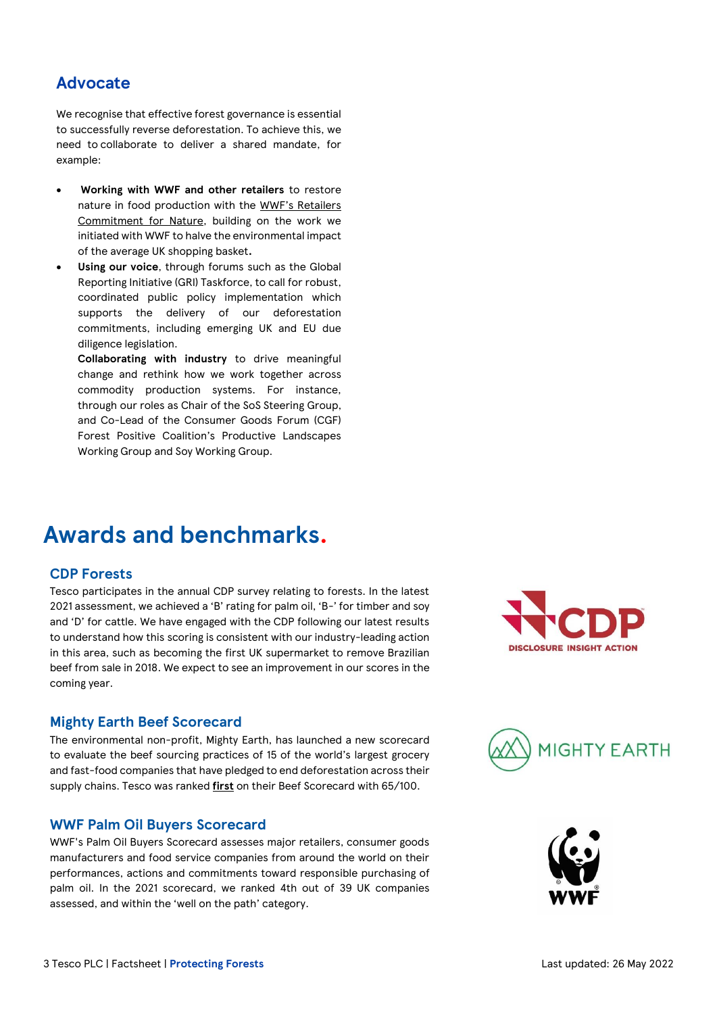## **Advocate**

We recognise that effective forest governance is essential to successfully reverse deforestation. To achieve this, we need to collaborate to deliver a shared mandate, for example:

- **Working with WWF and other retailers** to restore nature in food production with the [WWF's Retailers](https://www.wwf.org.uk/basket-metric)  [Commitment for Nature,](https://www.wwf.org.uk/basket-metric) building on the work we initiated with WWF to halve the environmental impact of the average UK shopping basket**.**
- Using our voice, through forums such as the Global Reporting Initiative (GRI) Taskforce, to call for robust, coordinated public policy implementation which supports the delivery of our deforestation commitments, including emerging UK and EU due diligence legislation.

**Collaborating with industry** to drive meaningful change and rethink how we work together across commodity production systems. For instance, through our roles as Chair of the SoS Steering Group, and Co-Lead of the Consumer Goods Forum (CGF) Forest Positive Coalition's Productive Landscapes Working Group and Soy Working Group.

# **Awards and benchmarks.**

#### **CDP Forests**

Tesco participates in the annual CDP survey relating to forests. In the latest 2021 assessment, we achieved a 'B' rating for palm oil, 'B-' for timber and soy and 'D' for cattle. We have engaged with the CDP following our latest results to understand how this scoring is consistent with our industry-leading action in this area, such as becoming the first UK supermarket to remove Brazilian beef from sale in 2018. We expect to see an improvement in our scores in the coming year.

### **Mighty Earth Beef Scorecard**

The environmental non-profit, Mighty Earth, has launched a new scorecard to evaluate the beef sourcing practices of 15 of the world's largest grocery and fast-food companies that have pledged to end deforestation across their supply chains. Tesco was ranked **first** on their Beef Scorecard with 65/100.

### **WWF Palm Oil Buyers Scorecard**

WWF's Palm Oil Buyers Scorecard assesses major retailers, consumer goods manufacturers and food service companies from around the world on their performances, actions and commitments toward responsible purchasing of palm oil. In the 2021 scorecard, we ranked 4th out of 39 UK companies assessed, and within the 'well on the path' category.





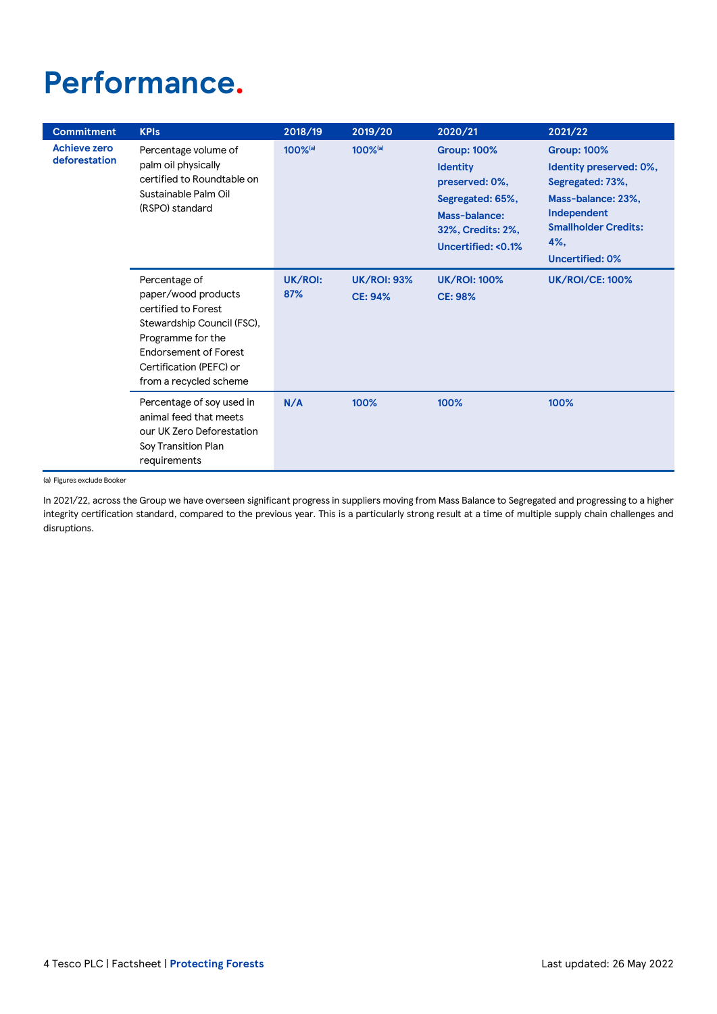# **Performance.**

| <b>Commitment</b>             | <b>KPIs</b>                                                                                                                                                                                  | 2018/19             | 2019/20                              | 2020/21                                                                                                                                           | 2021/22                                                                                                                                                                    |
|-------------------------------|----------------------------------------------------------------------------------------------------------------------------------------------------------------------------------------------|---------------------|--------------------------------------|---------------------------------------------------------------------------------------------------------------------------------------------------|----------------------------------------------------------------------------------------------------------------------------------------------------------------------------|
| Achieve zero<br>deforestation | Percentage volume of<br>palm oil physically<br>certified to Roundtable on<br>Sustainable Palm Oil<br>(RSPO) standard                                                                         | 100% <sup>(a)</sup> | 100% <sup>(a)</sup>                  | <b>Group: 100%</b><br><b>Identity</b><br>preserved: 0%,<br>Segregated: 65%,<br>Mass-balance:<br>32%, Credits: 2%,<br><b>Uncertified: &lt;0.1%</b> | <b>Group: 100%</b><br>Identity preserved: 0%,<br>Segregated: 73%,<br>Mass-balance: 23%,<br>Independent<br><b>Smallholder Credits:</b><br>$4\%$ ,<br><b>Uncertified: 0%</b> |
|                               | Percentage of<br>paper/wood products<br>certified to Forest<br>Stewardship Council (FSC),<br>Programme for the<br>Endorsement of Forest<br>Certification (PEFC) or<br>from a recycled scheme | UK/ROI:<br>87%      | <b>UK/ROI: 93%</b><br><b>CE: 94%</b> | <b>UK/ROI: 100%</b><br><b>CE: 98%</b>                                                                                                             | <b>UK/ROI/CE: 100%</b>                                                                                                                                                     |
|                               | Percentage of soy used in<br>animal feed that meets<br>our UK Zero Deforestation<br>Soy Transition Plan<br>requirements                                                                      | N/A                 | 100%                                 | 100%                                                                                                                                              | 100%                                                                                                                                                                       |

(a) Figures exclude Booker

In 2021/22, across the Group we have overseen significant progress in suppliers moving from Mass Balance to Segregated and progressing to a higher integrity certification standard, compared to the previous year. This is a particularly strong result at a time of multiple supply chain challenges and disruptions.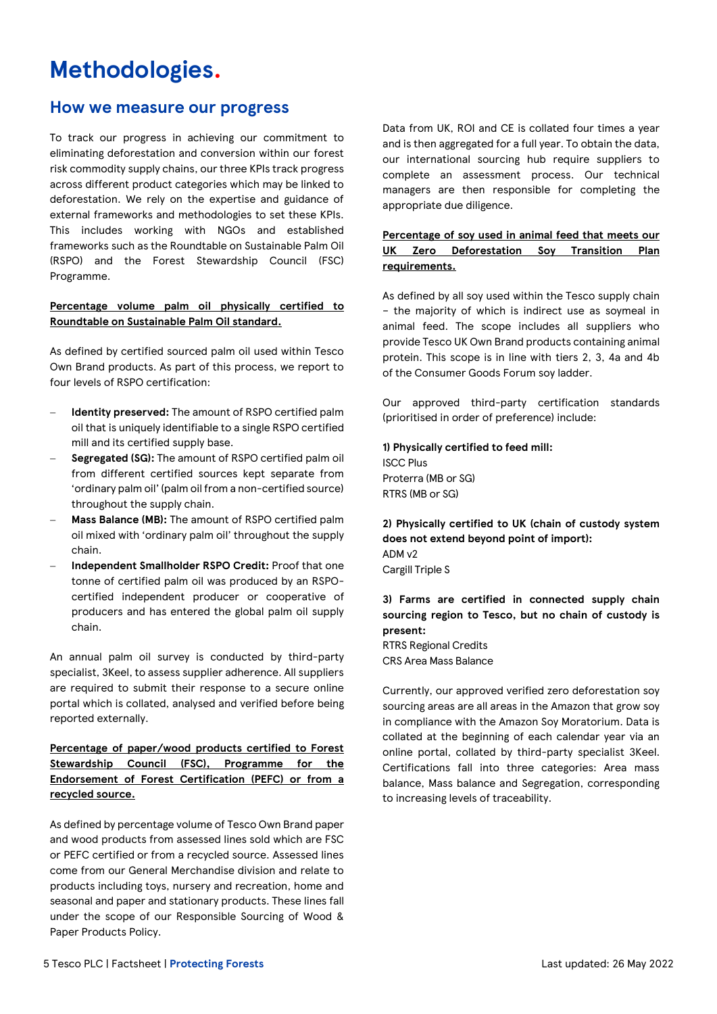# **Methodologies.**

### **How we measure our progress**

To track our progress in achieving our commitment to eliminating deforestation and conversion within our forest risk commodity supply chains, our three KPIs track progress across different product categories which may be linked to deforestation. We rely on the expertise and guidance of external frameworks and methodologies to set these KPIs. This includes working with NGOs and established frameworks such as the Roundtable on Sustainable Palm Oil (RSPO) and the Forest Stewardship Council (FSC) Programme.

#### **Percentage volume palm oil physically certified to Roundtable on Sustainable Palm Oil standard.**

As defined by certified sourced palm oil used within Tesco Own Brand products. As part of this process, we report to four levels of RSPO certification:

- **Identity preserved:** The amount of RSPO certified palm oil that is uniquely identifiable to a single RSPO certified mill and its certified supply base.
- − **Segregated (SG):** The amount of RSPO certified palm oil from different certified sources kept separate from 'ordinary palm oil' (palm oil from a non-certified source) throughout the supply chain.
- − **Mass Balance (MB):** The amount of RSPO certified palm oil mixed with 'ordinary palm oil' throughout the supply chain.
- − **Independent Smallholder RSPO Credit:** Proof that one tonne of certified palm oil was produced by an RSPOcertified independent producer or cooperative of producers and has entered the global palm oil supply chain.

An annual palm oil survey is conducted by third-party specialist, 3Keel, to assess supplier adherence. All suppliers are required to submit their response to a secure online portal which is collated, analysed and verified before being reported externally.

**Percentage of paper/wood products certified to Forest Stewardship Council (FSC), Programme for the Endorsement of Forest Certification (PEFC) or from a recycled source.**

As defined by percentage volume of Tesco Own Brand paper and wood products from assessed lines sold which are FSC or PEFC certified or from a recycled source. Assessed lines come from our General Merchandise division and relate to products including toys, nursery and recreation, home and seasonal and paper and stationary products. These lines fall under the scope of our Responsible Sourcing of Wood & Paper Products Policy.

Data from UK, ROI and CE is collated four times a year and is then aggregated for a full year. To obtain the data, our international sourcing hub require suppliers to complete an assessment process. Our technical managers are then responsible for completing the appropriate due diligence.

#### **Percentage of soy used in animal feed that meets our UK Zero Deforestation Soy Transition Plan requirements.**

As defined by all soy used within the Tesco supply chain – the majority of which is indirect use as soymeal in animal feed. The scope includes all suppliers who provide Tesco UK Own Brand products containing animal protein. This scope is in line with tiers 2, 3, 4a and 4b of the Consumer Goods Forum soy ladder.

Our approved third-party certification standards (prioritised in order of preference) include:

**1) Physically certified to feed mill:** ISCC Plus Proterra (MB or SG) RTRS (MB or SG)

**2) Physically certified to UK (chain of custody system does not extend beyond point of import):** ADM v2 Cargill Triple S

### **3) Farms are certified in connected supply chain sourcing region to Tesco, but no chain of custody is present:**

RTRS Regional Credits CRS Area Mass Balance

Currently, our approved verified zero deforestation soy sourcing areas are all areas in the Amazon that grow soy in compliance with the Amazon Soy Moratorium. Data is collated at the beginning of each calendar year via an online portal, collated by third-party specialist 3Keel. Certifications fall into three categories: Area mass balance, Mass balance and Segregation, corresponding to increasing levels of traceability.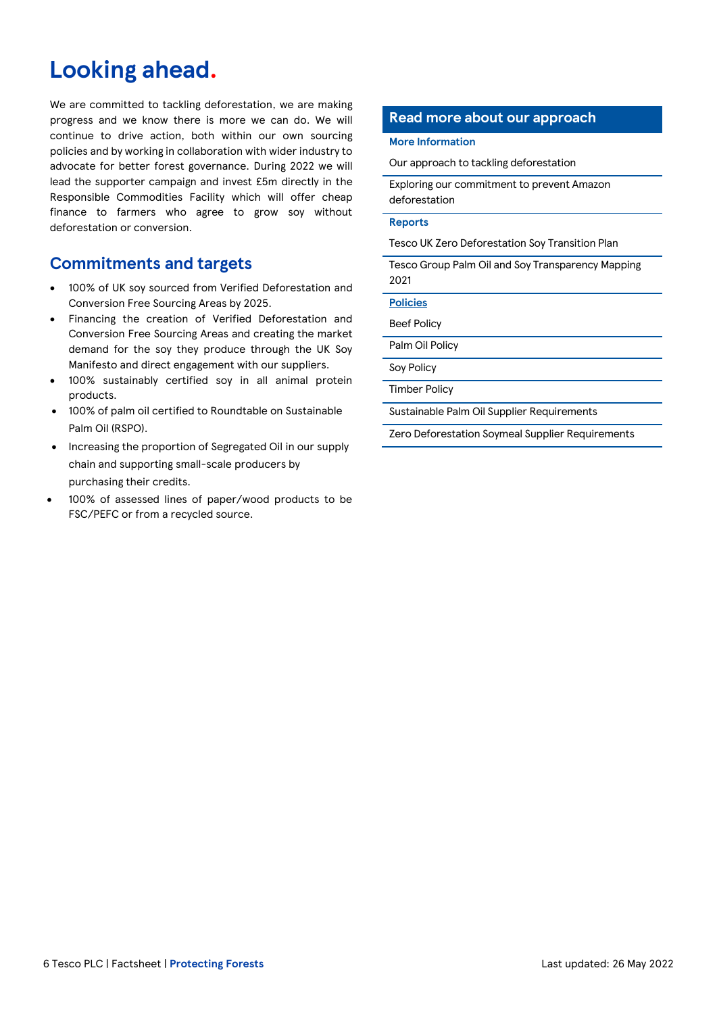# **Looking ahead.**

We are committed to tackling deforestation, we are making progress and we know there is more we can do. We will continue to drive action, both within our own sourcing policies and by working in collaboration with wider industry to advocate for better forest governance. During 2022 we will lead the supporter campaign and invest £5m directly in the Responsible Commodities Facility which will offer cheap finance to farmers who agree to grow soy without deforestation or conversion.

## **Commitments and targets**

- 100% of UK soy sourced from Verified Deforestation and Conversion Free Sourcing Areas by 2025.
- Financing the creation of Verified Deforestation and Conversion Free Sourcing Areas and creating the market demand for the soy they produce through the UK Soy Manifesto and direct engagement with our suppliers.
- 100% sustainably certified soy in all animal protein products.
- 100% of palm oil certified to Roundtable on Sustainable Palm Oil (RSPO).
- Increasing the proportion of Segregated Oil in our supply chain and supporting small-scale producers by purchasing their credits.
- 100% of assessed lines of paper/wood products to be FSC/PEFC or from a recycled source.

### **Read more about our approach**

#### **More Information**

[Our approach to tackling deforestation](https://www.tescoplc.com/sustainability/taking-action/environment/tackling-deforestation/)

[Exploring our commitment to prevent Amazon](https://www.tescoplc.com/updates/2020/tesco-extends-commitment-to-prevent-amazon-deforestation/)  [deforestation](https://www.tescoplc.com/updates/2020/tesco-extends-commitment-to-prevent-amazon-deforestation/)

#### **Reports**

[Tesco UK Zero Deforestation Soy Transition Plan](https://www.tescoplc.com/media/755387/tesco-zero-deforestation-soymeal-transition-plan_dec-2019.pdf)

[Tesco Group Palm Oil and Soy Transparency Mapping](https://www.tescoplc.com/media/757846/tesco-group-palm-oil-and-soy-transparency-mapping-1.pdf)  [2021](https://www.tescoplc.com/media/757846/tesco-group-palm-oil-and-soy-transparency-mapping-1.pdf)

**Policies**

[Beef Policy](https://www.tescoplc.com/sustainability/documents/policies/sourcing-beef-responsibly/)

[Palm Oil Policy](https://www.tescoplc.com/sustainability/documents/policies/sourcing-palm-oil-responsibly/)

[Soy Policy](https://www.tescoplc.com/sustainability/documents/policies/sourcing-soy-responsibly/)

[Timber Policy](https://www.tescoplc.com/sustainability/documents/policies/sourcing-timber-responsibly/)

Sustainable Palm Oil [Supplier Requirements](https://www.tescoplc.com/media/757813/60399v21en-tesco-group-sustainable-palm-oil-supplier-requirements_final.pdf)

[Zero Deforestation Soymeal Supplier Requirements](https://www.tescoplc.com/media/758375/60549v20en-tesco-zero-deforestation-soymeal-supplier-requirements_final.pdf)